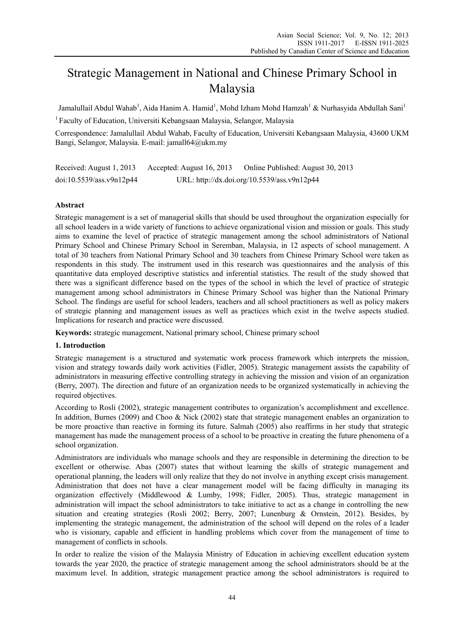# Strategic Management in National and Chinese Primary School in Malaysia

Jamalullail Abdul Wahab<sup>1</sup>, Aida Hanim A. Hamid<sup>1</sup>, Mohd Izham Mohd Hamzah<sup>1</sup> & Nurhasyida Abdullah Sani<sup>1</sup>

1 Faculty of Education, Universiti Kebangsaan Malaysia, Selangor, Malaysia

Correspondence: Jamalullail Abdul Wahab, Faculty of Education, Universiti Kebangsaan Malaysia, 43600 UKM Bangi, Selangor, Malaysia. E-mail: jamall64@ukm.my

Received: August 1, 2013 Accepted: August 16, 2013 Online Published: August 30, 2013 doi:10.5539/ass.v9n12p44 URL: http://dx.doi.org/10.5539/ass.v9n12p44

## **Abstract**

Strategic management is a set of managerial skills that should be used throughout the organization especially for all school leaders in a wide variety of functions to achieve organizational vision and mission or goals. This study aims to examine the level of practice of strategic management among the school administrators of National Primary School and Chinese Primary School in Seremban, Malaysia, in 12 aspects of school management. A total of 30 teachers from National Primary School and 30 teachers from Chinese Primary School were taken as respondents in this study. The instrument used in this research was questionnaires and the analysis of this quantitative data employed descriptive statistics and inferential statistics. The result of the study showed that there was a significant difference based on the types of the school in which the level of practice of strategic management among school administrators in Chinese Primary School was higher than the National Primary School. The findings are useful for school leaders, teachers and all school practitioners as well as policy makers of strategic planning and management issues as well as practices which exist in the twelve aspects studied. Implications for research and practice were discussed.

**Keywords:** strategic management, National primary school, Chinese primary school

## **1. Introduction**

Strategic management is a structured and systematic work process framework which interprets the mission, vision and strategy towards daily work activities (Fidler, 2005). Strategic management assists the capability of administrators in measuring effective controlling strategy in achieving the mission and vision of an organization (Berry, 2007). The direction and future of an organization needs to be organized systematically in achieving the required objectives.

According to Rosli (2002), strategic management contributes to organization's accomplishment and excellence. In addition, Burnes (2009) and Choo & Nick (2002) state that strategic management enables an organization to be more proactive than reactive in forming its future. Salmah (2005) also reaffirms in her study that strategic management has made the management process of a school to be proactive in creating the future phenomena of a school organization.

Administrators are individuals who manage schools and they are responsible in determining the direction to be excellent or otherwise. Abas (2007) states that without learning the skills of strategic management and operational planning, the leaders will only realize that they do not involve in anything except crisis management. Administration that does not have a clear management model will be facing difficulty in managing its organization effectively (Middlewood & Lumby, 1998; Fidler, 2005). Thus, strategic management in administration will impact the school administrators to take initiative to act as a change in controlling the new situation and creating strategies (Rosli 2002; Berry, 2007; Lunenburg & Ornstein, 2012). Besides, by implementing the strategic management, the administration of the school will depend on the roles of a leader who is visionary, capable and efficient in handling problems which cover from the management of time to management of conflicts in schools.

In order to realize the vision of the Malaysia Ministry of Education in achieving excellent education system towards the year 2020, the practice of strategic management among the school administrators should be at the maximum level. In addition, strategic management practice among the school administrators is required to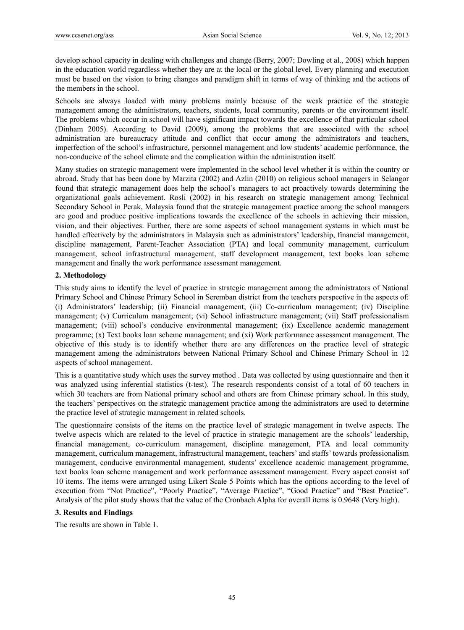develop school capacity in dealing with challenges and change (Berry, 2007; Dowling et al., 2008) which happen in the education world regardless whether they are at the local or the global level. Every planning and execution must be based on the vision to bring changes and paradigm shift in terms of way of thinking and the actions of the members in the school.

Schools are always loaded with many problems mainly because of the weak practice of the strategic management among the administrators, teachers, students, local community, parents or the environment itself. The problems which occur in school will have significant impact towards the excellence of that particular school (Dinham 2005). According to David (2009), among the problems that are associated with the school administration are bureaucracy attitude and conflict that occur among the administrators and teachers, imperfection of the school's infrastructure, personnel management and low students' academic performance, the non-conducive of the school climate and the complication within the administration itself.

Many studies on strategic management were implemented in the school level whether it is within the country or abroad. Study that has been done by Marzita (2002) and Azlin (2010) on religious school managers in Selangor found that strategic management does help the school's managers to act proactively towards determining the organizational goals achievement. Rosli (2002) in his research on strategic management among Technical Secondary School in Perak, Malaysia found that the strategic management practice among the school managers are good and produce positive implications towards the excellence of the schools in achieving their mission, vision, and their objectives. Further, there are some aspects of school management systems in which must be handled effectively by the administrators in Malaysia such as administrators' leadership, financial management, discipline management, Parent-Teacher Association (PTA) and local community management, curriculum management, school infrastructural management, staff development management, text books loan scheme management and finally the work performance assessment management.

### **2. Methodology**

This study aims to identify the level of practice in strategic management among the administrators of National Primary School and Chinese Primary School in Seremban district from the teachers perspective in the aspects of: (i) Administrators' leadership; (ii) Financial management; (iii) Co-curriculum management; (iv) Discipline management; (v) Curriculum management; (vi) School infrastructure management; (vii) Staff professionalism management; (viii) school's conducive environmental management; (ix) Excellence academic management programme; (x) Text books loan scheme management; and (xi) Work performance assessment management. The objective of this study is to identify whether there are any differences on the practice level of strategic management among the administrators between National Primary School and Chinese Primary School in 12 aspects of school management.

This is a quantitative study which uses the survey method . Data was collected by using questionnaire and then it was analyzed using inferential statistics (t-test). The research respondents consist of a total of 60 teachers in which 30 teachers are from National primary school and others are from Chinese primary school. In this study, the teachers' perspectives on the strategic management practice among the administrators are used to determine the practice level of strategic management in related schools.

The questionnaire consists of the items on the practice level of strategic management in twelve aspects. The twelve aspects which are related to the level of practice in strategic management are the schools' leadership, financial management, co-curriculum management, discipline management, PTA and local community management, curriculum management, infrastructural management, teachers' and staffs' towards professionalism management, conducive environmental management, students' excellence academic management programme, text books loan scheme management and work performance assessment management. Every aspect consist sof 10 items. The items were arranged using Likert Scale 5 Points which has the options according to the level of execution from "Not Practice", "Poorly Practice", "Average Practice", "Good Practice" and "Best Practice". Analysis of the pilot study shows that the value of the Cronbach Alpha for overall items is 0.9648 (Very high).

#### **3. Results and Findings**

The results are shown in Table 1.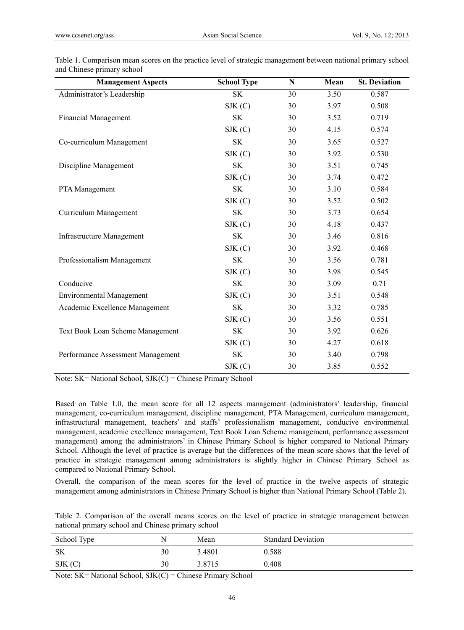| <b>Management Aspects</b>         | <b>School Type</b> | ${\bf N}$ | Mean | <b>St. Deviation</b> |
|-----------------------------------|--------------------|-----------|------|----------------------|
| Administrator's Leadership        | <b>SK</b>          | 30        | 3.50 | 0.587                |
|                                   | SIK(C)             | 30        | 3.97 | 0.508                |
| <b>Financial Management</b>       | <b>SK</b>          | 30        | 3.52 | 0.719                |
|                                   | SIK(C)             | 30        | 4.15 | 0.574                |
| Co-curriculum Management          | <b>SK</b>          | 30        | 3.65 | 0.527                |
|                                   | SIK(C)             | 30        | 3.92 | 0.530                |
| Discipline Management             | <b>SK</b>          | 30        | 3.51 | 0.745                |
|                                   | SIK(C)             | 30        | 3.74 | 0.472                |
| PTA Management                    | <b>SK</b>          | 30        | 3.10 | 0.584                |
|                                   | SIK(C)             | 30        | 3.52 | 0.502                |
| Curriculum Management             | <b>SK</b>          | 30        | 3.73 | 0.654                |
|                                   | SIK(C)             | 30        | 4.18 | 0.437                |
| <b>Infrastructure Management</b>  | <b>SK</b>          | 30        | 3.46 | 0.816                |
|                                   | SIK(C)             | 30        | 3.92 | 0.468                |
| Professionalism Management        | SK                 | 30        | 3.56 | 0.781                |
|                                   | SIK(C)             | 30        | 3.98 | 0.545                |
| Conducive                         | <b>SK</b>          | 30        | 3.09 | 0.71                 |
| <b>Environmental Management</b>   | SIK(C)             | 30        | 3.51 | 0.548                |
| Academic Excellence Management    | <b>SK</b>          | 30        | 3.32 | 0.785                |
|                                   | SIK(C)             | 30        | 3.56 | 0.551                |
| Text Book Loan Scheme Management  | <b>SK</b>          | 30        | 3.92 | 0.626                |
|                                   | SIK(C)             | 30        | 4.27 | 0.618                |
| Performance Assessment Management | <b>SK</b>          | 30        | 3.40 | 0.798                |
|                                   | SIK(C)             | 30        | 3.85 | 0.552                |

Table 1. Comparison mean scores on the practice level of strategic management between national primary school and Chinese primary school

Note: SK= National School, SJK(C) = Chinese Primary School

Based on Table 1.0, the mean score for all 12 aspects management (administrators' leadership, financial management, co-curriculum management, discipline management, PTA Management, curriculum management, infrastructural management, teachers' and staffs' professionalism management, conducive environmental management, academic excellence management, Text Book Loan Scheme management, performance assessment management) among the administrators' in Chinese Primary School is higher compared to National Primary School. Although the level of practice is average but the differences of the mean score shows that the level of practice in strategic management among administrators is slightly higher in Chinese Primary School as compared to National Primary School.

Overall, the comparison of the mean scores for the level of practice in the twelve aspects of strategic management among administrators in Chinese Primary School is higher than National Primary School (Table 2).

Table 2. Comparison of the overall means scores on the level of practice in strategic management between national primary school and Chinese primary school

| School Type |    | Mean   | <b>Standard Deviation</b> |
|-------------|----|--------|---------------------------|
| SK          | 30 | 3.4801 | 0.588                     |
| SIK(C)      | 30 | 3.8715 | 0.408                     |
|             |    |        |                           |

Note: SK= National School, SJK(C) = Chinese Primary School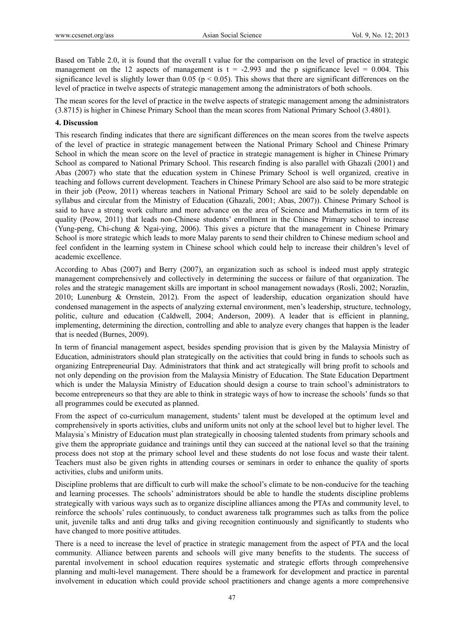Based on Table 2.0, it is found that the overall t value for the comparison on the level of practice in strategic management on the 12 aspects of management is  $t = -2.993$  and the p significance level = 0.004. This significance level is slightly lower than 0.05 ( $p < 0.05$ ). This shows that there are significant differences on the level of practice in twelve aspects of strategic management among the administrators of both schools.

The mean scores for the level of practice in the twelve aspects of strategic management among the administrators (3.8715) is higher in Chinese Primary School than the mean scores from National Primary School (3.4801).

#### **4. Discussion**

This research finding indicates that there are significant differences on the mean scores from the twelve aspects of the level of practice in strategic management between the National Primary School and Chinese Primary School in which the mean score on the level of practice in strategic management is higher in Chinese Primary School as compared to National Primary School. This research finding is also parallel with Ghazali (2001) and Abas (2007) who state that the education system in Chinese Primary School is well organized, creative in teaching and follows current development. Teachers in Chinese Primary School are also said to be more strategic in their job (Peow, 2011) whereas teachers in National Primary School are said to be solely dependable on syllabus and circular from the Ministry of Education (Ghazali, 2001; Abas, 2007)). Chinese Primary School is said to have a strong work culture and more advance on the area of Science and Mathematics in term of its quality (Peow, 2011) that leads non-Chinese students' enrollment in the Chinese Primary school to increase (Yung-peng, Chi-chung & Ngai-ying, 2006). This gives a picture that the management in Chinese Primary School is more strategic which leads to more Malay parents to send their children to Chinese medium school and feel confident in the learning system in Chinese school which could help to increase their children's level of academic excellence.

According to Abas (2007) and Berry (2007), an organization such as school is indeed must apply strategic management comprehensively and collectively in determining the success or failure of that organization. The roles and the strategic management skills are important in school management nowadays (Rosli, 2002; Norazlin, 2010; Lunenburg & Ornstein, 2012). From the aspect of leadership, education organization should have condensed management in the aspects of analyzing external environment, men's leadership, structure, technology, politic, culture and education (Caldwell, 2004; Anderson, 2009). A leader that is efficient in planning, implementing, determining the direction, controlling and able to analyze every changes that happen is the leader that is needed (Burnes, 2009).

In term of financial management aspect, besides spending provision that is given by the Malaysia Ministry of Education, administrators should plan strategically on the activities that could bring in funds to schools such as organizing Entrepreneurial Day. Administrators that think and act strategically will bring profit to schools and not only depending on the provision from the Malaysia Ministry of Education. The State Education Department which is under the Malaysia Ministry of Education should design a course to train school's administrators to become entrepreneurs so that they are able to think in strategic ways of how to increase the schools' funds so that all programmes could be executed as planned.

From the aspect of co-curriculum management, students' talent must be developed at the optimum level and comprehensively in sports activities, clubs and uniform units not only at the school level but to higher level. The Malaysia`s Ministry of Education must plan strategically in choosing talented students from primary schools and give them the appropriate guidance and trainings until they can succeed at the national level so that the training process does not stop at the primary school level and these students do not lose focus and waste their talent. Teachers must also be given rights in attending courses or seminars in order to enhance the quality of sports activities, clubs and uniform units.

Discipline problems that are difficult to curb will make the school's climate to be non-conducive for the teaching and learning processes. The schools' administrators should be able to handle the students discipline problems strategically with various ways such as to organize discipline alliances among the PTAs and community level, to reinforce the schools' rules continuously, to conduct awareness talk programmes such as talks from the police unit, juvenile talks and anti drug talks and giving recognition continuously and significantly to students who have changed to more positive attitudes.

There is a need to increase the level of practice in strategic management from the aspect of PTA and the local community. Alliance between parents and schools will give many benefits to the students. The success of parental involvement in school education requires systematic and strategic efforts through comprehensive planning and multi-level management. There should be a framework for development and practice in parental involvement in education which could provide school practitioners and change agents a more comprehensive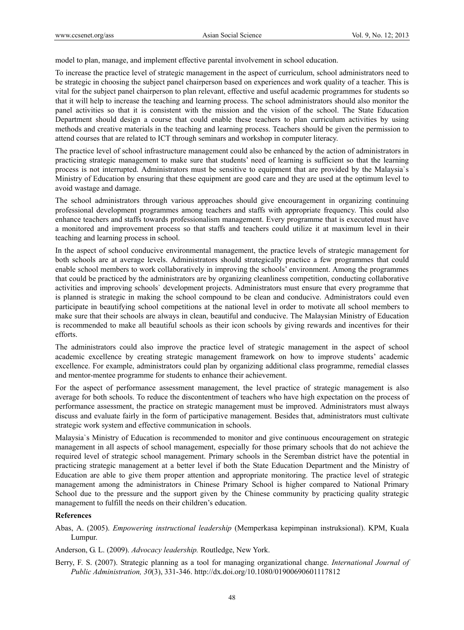model to plan, manage, and implement effective parental involvement in school education.

To increase the practice level of strategic management in the aspect of curriculum, school administrators need to be strategic in choosing the subject panel chairperson based on experiences and work quality of a teacher. This is vital for the subject panel chairperson to plan relevant, effective and useful academic programmes for students so that it will help to increase the teaching and learning process. The school administrators should also monitor the panel activities so that it is consistent with the mission and the vision of the school. The State Education Department should design a course that could enable these teachers to plan curriculum activities by using methods and creative materials in the teaching and learning process. Teachers should be given the permission to attend courses that are related to ICT through seminars and workshop in computer literacy.

The practice level of school infrastructure management could also be enhanced by the action of administrators in practicing strategic management to make sure that students' need of learning is sufficient so that the learning process is not interrupted. Administrators must be sensitive to equipment that are provided by the Malaysia`s Ministry of Education by ensuring that these equipment are good care and they are used at the optimum level to avoid wastage and damage.

The school administrators through various approaches should give encouragement in organizing continuing professional development programmes among teachers and staffs with appropriate frequency. This could also enhance teachers and staffs towards professionalism management. Every programme that is executed must have a monitored and improvement process so that staffs and teachers could utilize it at maximum level in their teaching and learning process in school.

In the aspect of school conducive environmental management, the practice levels of strategic management for both schools are at average levels. Administrators should strategically practice a few programmes that could enable school members to work collaboratively in improving the schools' environment. Among the programmes that could be practiced by the administrators are by organizing cleanliness competition, conducting collaborative activities and improving schools` development projects. Administrators must ensure that every programme that is planned is strategic in making the school compound to be clean and conducive. Administrators could even participate in beautifying school competitions at the national level in order to motivate all school members to make sure that their schools are always in clean, beautiful and conducive. The Malaysian Ministry of Education is recommended to make all beautiful schools as their icon schools by giving rewards and incentives for their efforts.

The administrators could also improve the practice level of strategic management in the aspect of school academic excellence by creating strategic management framework on how to improve students' academic excellence. For example, administrators could plan by organizing additional class programme, remedial classes and mentor-mentee programme for students to enhance their achievement.

For the aspect of performance assessment management, the level practice of strategic management is also average for both schools. To reduce the discontentment of teachers who have high expectation on the process of performance assessment, the practice on strategic management must be improved. Administrators must always discuss and evaluate fairly in the form of participative management. Besides that, administrators must cultivate strategic work system and effective communication in schools.

Malaysia`s Ministry of Education is recommended to monitor and give continuous encouragement on strategic management in all aspects of school management, especially for those primary schools that do not achieve the required level of strategic school management. Primary schools in the Seremban district have the potential in practicing strategic management at a better level if both the State Education Department and the Ministry of Education are able to give them proper attention and appropriate monitoring. The practice level of strategic management among the administrators in Chinese Primary School is higher compared to National Primary School due to the pressure and the support given by the Chinese community by practicing quality strategic management to fulfill the needs on their children's education.

#### **References**

Abas, A. (2005). *Empowering instructional leadership* (Memperkasa kepimpinan instruksional). KPM, Kuala Lumpur.

Anderson, G. L. (2009). *Advocacy leadership.* Routledge, New York.

Berry, F. S. (2007). Strategic planning as a tool for managing organizational change. *International Journal of Public Administration, 30*(3), 331-346. http://dx.doi.org/10.1080/01900690601117812